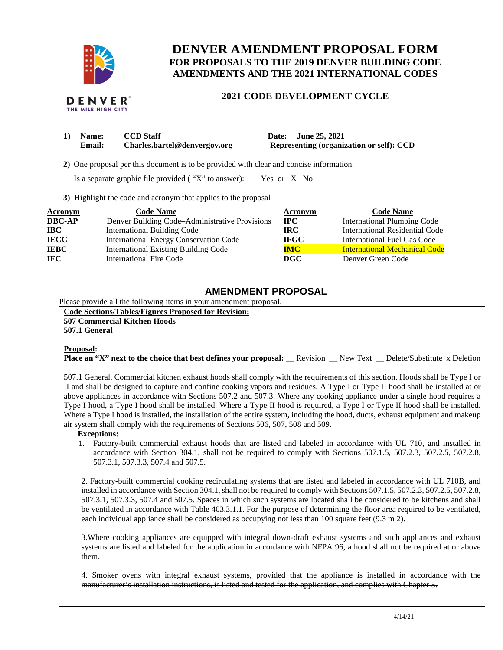

# **DENVER AMENDMENT PROPOSAL FORM FOR PROPOSALS TO THE 2019 DENVER BUILDING CODE AMENDMENTS AND THE 2021 INTERNATIONAL CODES**

## **2021 CODE DEVELOPMENT CYCLE**

| Name:  | <b>CCD</b> Staff             |
|--------|------------------------------|
| Email: | Charles.bartel@denvergov.org |

**1) Date:** June 25, 2021 **Representing (organization or self): CCD** 

 **2)** One proposal per this document is to be provided with clear and concise information.

Is a separate graphic file provided ( $"X"$  to answer): \_\_\_ Yes or  $X_N$  No

**3)** Highlight the code and acronym that applies to the proposal

| Acronym       | <b>Code Name</b>                               | Acronym     | <b>Code Name</b>                     |
|---------------|------------------------------------------------|-------------|--------------------------------------|
| <b>DBC-AP</b> | Denver Building Code–Administrative Provisions | $\bf IPC$   | <b>International Plumbing Code</b>   |
| <b>IBC</b>    | <b>International Building Code</b>             | IRC-        | International Residential Code       |
| <b>IECC</b>   | <b>International Energy Conservation Code</b>  | <b>IFGC</b> | International Fuel Gas Code          |
| <b>IEBC</b>   | <b>International Existing Building Code</b>    | <b>IMC</b>  | <b>International Mechanical Code</b> |
| IFC.          | <b>International Fire Code</b>                 | <b>DGC</b>  | Denver Green Code                    |

### **AMENDMENT PROPOSAL**

Please provide all the following items in your amendment proposal.

**Code Sections/Tables/Figures Proposed for Revision: 507 Commercial Kitchen Hoods 507.1 General**

#### **Proposal:**

**Place an "X" next to the choice that best defines your proposal:** Revision New Text Delete/Substitute x Deletion

507.1 General. Commercial kitchen exhaust hoods shall comply with the requirements of this section. Hoods shall be Type I or II and shall be designed to capture and confine cooking vapors and residues. A Type I or Type II hood shall be installed at or above appliances in accordance with Sections 507.2 and 507.3. Where any cooking appliance under a single hood requires a Type I hood, a Type I hood shall be installed. Where a Type II hood is required, a Type I or Type II hood shall be installed. Where a Type I hood is installed, the installation of the entire system, including the hood, ducts, exhaust equipment and makeup air system shall comply with the requirements of Sections 506, 507, 508 and 509.

#### **Exceptions:**

1. Factory-built commercial exhaust hoods that are listed and labeled in accordance with UL 710, and installed in accordance with Section 304.1, shall not be required to comply with Sections 507.1.5, 507.2.3, 507.2.5, 507.2.8, 507.3.1, 507.3.3, 507.4 and 507.5.

2. Factory-built commercial cooking recirculating systems that are listed and labeled in accordance with UL 710B, and installed in accordance with Section 304.1, shall not be required to comply with Sections 507.1.5, 507.2.3, 507.2.5, 507.2.8, 507.3.1, 507.3.3, 507.4 and 507.5. Spaces in which such systems are located shall be considered to be kitchens and shall be ventilated in accordance with Table 403.3.1.1. For the purpose of determining the floor area required to be ventilated, each individual appliance shall be considered as occupying not less than 100 square feet (9.3 m 2).

3.Where cooking appliances are equipped with integral down-draft exhaust systems and such appliances and exhaust systems are listed and labeled for the application in accordance with NFPA 96, a hood shall not be required at or above them.

4. Smoker ovens with integral exhaust systems, provided that the appliance is installed in accordance with the manufacturer's installation instructions, is listed and tested for the application, and complies with Chapter 5.